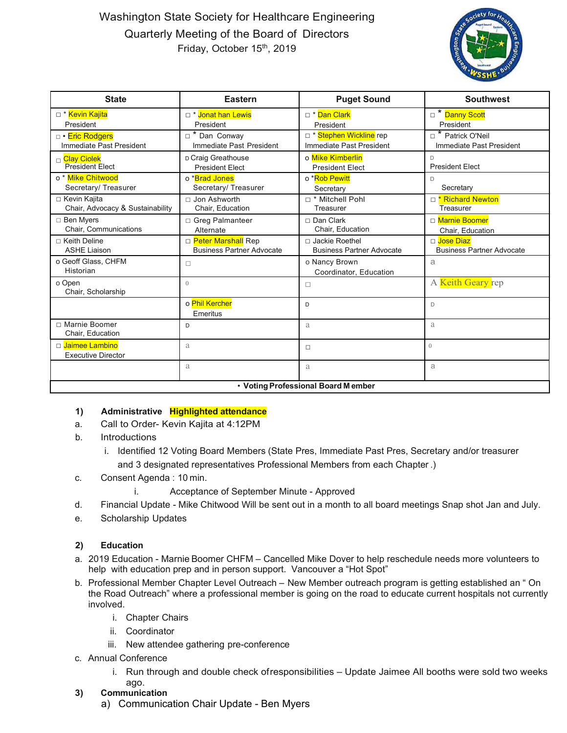## Washington State Society for Healthcare Engineering Quarterly Meeting of the Board of Directors Friday, October 15<sup>th</sup>, 2019



| <b>State</b>                                         | <b>Eastern</b>                                           | <b>Puget Sound</b>                                   | <b>Southwest</b>                                |
|------------------------------------------------------|----------------------------------------------------------|------------------------------------------------------|-------------------------------------------------|
| □ * <mark>Kevin Kajita</mark><br>President           | □ * Jonat han Lewis<br>President                         | □ * Dan Clark<br>President                           | □ <sup>*</sup> Danny Scott<br>President         |
| □ • Eric Rodgers<br>Immediate Past President         | * Dan Conway<br>$\Box$<br>Immediate Past President       | □ * Stephen Wickline rep<br>Immediate Past President | * Patrick O'Neil<br>Immediate Past President    |
| <sub>□</sub> Clay Ciolek<br><b>President Elect</b>   | D Craig Greathouse<br><b>President Elect</b>             | o Mike Kimberlin<br><b>President Elect</b>           | D<br><b>President Elect</b>                     |
| o <sup>*</sup> Mike Chitwood<br>Secretary/ Treasurer | o *Brad Jones<br>Secretary/ Treasurer                    | o *Rob Pewitt<br>Secretary                           | D<br>Secretary                                  |
| □ Kevin Kajita<br>Chair, Advocacy & Sustainability   | $\Box$ Jon Ashworth<br>Chair, Education                  | □ * Mitchell Pohl<br>Treasurer                       | □ <b>* Richard Newton</b><br>Treasurer          |
| □ Ben Myers<br>Chair, Communications                 | □ Greg Palmanteer<br>Alternate                           | $\Box$ Dan Clark<br>Chair. Education                 | □ Marnie Boomer<br>Chair. Education             |
| $\Box$ Keith Deline<br><b>ASHE Liaison</b>           | □ Peter Marshall Rep<br><b>Business Partner Advocate</b> | □ Jackie Roethel<br><b>Business Partner Advocate</b> | □ Jose Diaz<br><b>Business Partner Advocate</b> |
| o Geoff Glass, CHFM<br>Historian                     | □                                                        | o Nancy Brown<br>Coordinator, Education              | a                                               |
| o Open<br>Chair, Scholarship                         | $\overline{0}$                                           | □                                                    | A Keith Geary rep                               |
|                                                      | o Phil Kercher<br>Emeritus                               | D                                                    | D                                               |
| □ Marnie Boomer<br>Chair, Education                  | D                                                        | a                                                    | a                                               |
| □ Jaimee Lambino<br><b>Executive Director</b>        | a                                                        | $\Box$                                               | $\Omega$                                        |
|                                                      | a                                                        | a                                                    | a                                               |
| • Voting Professional Board Member                   |                                                          |                                                      |                                                 |

## **1) Administrative Highlighted attendance**

- a. Call to Order- Kevin Kajita at 4:12PM
- b. Introductions
	- i. Identified 12 Voting Board Members (State Pres, Immediate Past Pres, Secretary and/or treasurer and 3 designated representatives Professional Members from each Chapter .)
- c. Consent Agenda : 10 min.
	- i. Acceptance of September Minute Approved
- d. Financial Update Mike Chitwood Will be sent out in a month to all board meetings Snap shot Jan and July.
- e. Scholarship Updates

## **2) Education**

- a. 2019 Education Marnie Boomer CHFM Cancelled Mike Dover to help reschedule needs more volunteers to help with education prep and in person support. Vancouver a "Hot Spot"
- b. Professional Member Chapter Level Outreach New Member outreach program is getting established an " On the Road Outreach" where a professional member is going on the road to educate current hospitals not currently involved.
	- i. Chapter Chairs
	- ii. Coordinator
	- iii. New attendee gathering pre-conference
- c. Annual Conference
	- i. Run through and double check ofresponsibilities Update Jaimee All booths were sold two weeks ago.
- **3) Communication**
	- a) Communication Chair Update Ben Myers